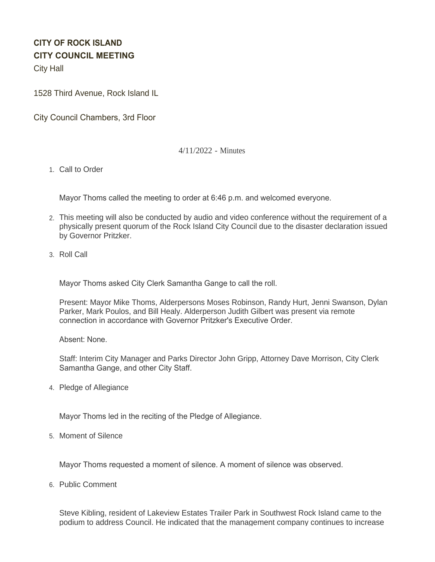# **CITY OF ROCK ISLAND CITY COUNCIL MEETING**

City Hall

1528 Third Avenue, Rock Island IL

City Council Chambers, 3rd Floor

# 4/11/2022 - Minutes

1. Call to Order

Mayor Thoms called the meeting to order at 6:46 p.m. and welcomed everyone.

- This meeting will also be conducted by audio and video conference without the requirement of a 2. physically present quorum of the Rock Island City Council due to the disaster declaration issued by Governor Pritzker.
- 3. Roll Call

Mayor Thoms asked City Clerk Samantha Gange to call the roll.

Present: Mayor Mike Thoms, Alderpersons Moses Robinson, Randy Hurt, Jenni Swanson, Dylan Parker, Mark Poulos, and Bill Healy. Alderperson Judith Gilbert was present via remote connection in accordance with Governor Pritzker's Executive Order.

Absent: None.

Staff: Interim City Manager and Parks Director John Gripp, Attorney Dave Morrison, City Clerk Samantha Gange, and other City Staff.

4. Pledge of Allegiance

Mayor Thoms led in the reciting of the Pledge of Allegiance.

5. Moment of Silence

Mayor Thoms requested a moment of silence. A moment of silence was observed.

6. Public Comment

Steve Kibling, resident of Lakeview Estates Trailer Park in Southwest Rock Island came to the podium to address Council. He indicated that the management company continues to increase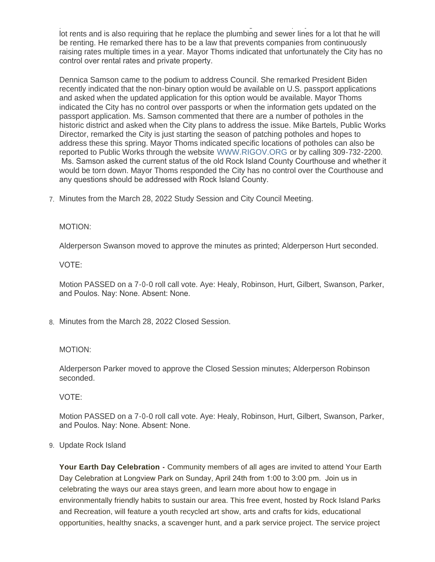podium to address Council. He indicated that the management company continues to increase lot rents and is also requiring that he replace the plumbing and sewer lines for a lot that he will be renting. He remarked there has to be a law that prevents companies from continuously raising rates multiple times in a year. Mayor Thoms indicated that unfortunately the City has no control over rental rates and private property.

Dennica Samson came to the podium to address Council. She remarked President Biden recently indicated that the non-binary option would be available on U.S. passport applications and asked when the updated application for this option would be available. Mayor Thoms indicated the City has no control over passports or when the information gets updated on the passport application. Ms. Samson commented that there are a number of potholes in the historic district and asked when the City plans to address the issue. Mike Bartels, Public Works Director, remarked the City is just starting the season of patching potholes and hopes to address these this spring. Mayor Thoms indicated specific locations of potholes can also be reported to Public Works through the website [WWW.RIGOV.ORG](https://www.rigov.org/) or by calling 309-732-2200. Ms. Samson asked the current status of the old Rock Island County Courthouse and whether it would be torn down. Mayor Thoms responded the City has no control over the Courthouse and any questions should be addressed with Rock Island County.

Minutes from the March 28, 2022 Study Session and City Council Meeting. 7.

# MOTION:

Alderperson Swanson moved to approve the minutes as printed; Alderperson Hurt seconded.

### VOTE:

Motion PASSED on a 7-0-0 roll call vote. Aye: Healy, Robinson, Hurt, Gilbert, Swanson, Parker, and Poulos. Nay: None. Absent: None.

Minutes from the March 28, 2022 Closed Session. 8.

### MOTION:

Alderperson Parker moved to approve the Closed Session minutes; Alderperson Robinson seconded.

VOTE:

Motion PASSED on a 7-0-0 roll call vote. Aye: Healy, Robinson, Hurt, Gilbert, Swanson, Parker, and Poulos. Nay: None. Absent: None.

### Update Rock Island 9.

**Your Earth Day Celebration -** Community members of all ages are invited to attend Your Earth Day Celebration at Longview Park on Sunday, April 24th from 1:00 to 3:00 pm. Join us in celebrating the ways our area stays green, and learn more about how to engage in environmentally friendly habits to sustain our area. This free event, hosted by Rock Island Parks and Recreation, will feature a youth recycled art show, arts and crafts for kids, educational opportunities, healthy snacks, a scavenger hunt, and a park service project. The service project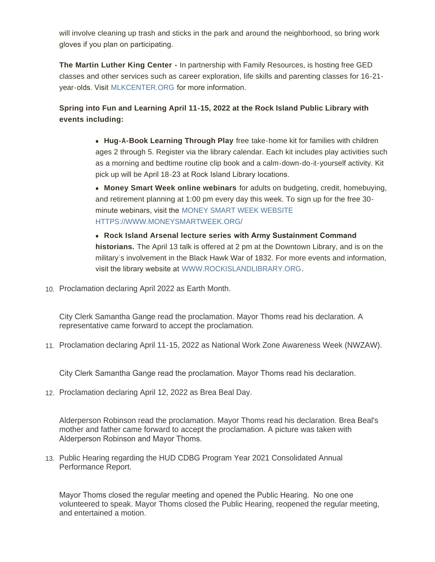will involve cleaning up trash and sticks in the park and around the neighborhood, so bring work gloves if you plan on participating.

**The Martin Luther King Center -** In partnership with Family Resources, is hosting free GED classes and other services such as career exploration, life skills and parenting classes for 16-21 year-olds. Visit [MLKCENTER.ORG](http://mlkcenter.org/) for more information.

# **Spring into Fun and Learning April 11-15, 2022 at the Rock Island Public Library with events including:**

**Hug-A-Book Learning Through Play** free take-home kit for families with children ages 2 through 5. Register via the library calendar. Each kit includes play activities such as a morning and bedtime routine clip book and a calm-down-do-it-yourself activity. Kit pick up will be April 18-23 at Rock Island Library locations.

**Money Smart Week online webinars** for adults on budgeting, credit, homebuying, and retirement planning at 1:00 pm every day this week. To sign up for the free 30 minute webinars, visit the [MONEY SMART WEEK WEBSITE](http://www.moneysmartweek.org./) [HTTPS://WWW.MONEYSMARTWEEK.ORG/](https://www.moneysmartweek.org/)

<sup>l</sup> **Rock Island Arsenal lecture series with Army Sustainment Command historians.** The April 13 talk is offered at 2 pm at the Downtown Library, and is on the military's involvement in the Black Hawk War of 1832. For more events and information, visit the library website at [WWW.ROCKISLANDLIBRARY.ORG](http://www.rockislandlibrary.org/).

10. Proclamation declaring April 2022 as Earth Month.

City Clerk Samantha Gange read the proclamation. Mayor Thoms read his declaration. A representative came forward to accept the proclamation.

11. Proclamation declaring April 11-15, 2022 as National Work Zone Awareness Week (NWZAW).

City Clerk Samantha Gange read the proclamation. Mayor Thoms read his declaration.

Proclamation declaring April 12, 2022 as Brea Beal Day. 12.

Alderperson Robinson read the proclamation. Mayor Thoms read his declaration. Brea Beal's mother and father came forward to accept the proclamation. A picture was taken with Alderperson Robinson and Mayor Thoms.

13. Public Hearing regarding the HUD CDBG Program Year 2021 Consolidated Annual Performance Report.

Mayor Thoms closed the regular meeting and opened the Public Hearing. No one one volunteered to speak. Mayor Thoms closed the Public Hearing, reopened the regular meeting, and entertained a motion.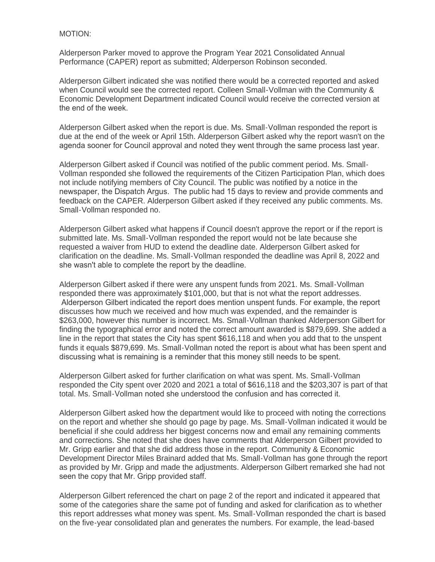### MOTION:

Alderperson Parker moved to approve the Program Year 2021 Consolidated Annual Performance (CAPER) report as submitted; Alderperson Robinson seconded.

Alderperson Gilbert indicated she was notified there would be a corrected reported and asked when Council would see the corrected report. Colleen Small-Vollman with the Community & Economic Development Department indicated Council would receive the corrected version at the end of the week.

Alderperson Gilbert asked when the report is due. Ms. Small-Vollman responded the report is due at the end of the week or April 15th. Alderperson Gilbert asked why the report wasn't on the agenda sooner for Council approval and noted they went through the same process last year.

Alderperson Gilbert asked if Council was notified of the public comment period. Ms. Small-Vollman responded she followed the requirements of the Citizen Participation Plan, which does not include notifying members of City Council. The public was notified by a notice in the newspaper, the Dispatch Argus. The public had 15 days to review and provide comments and feedback on the CAPER. Alderperson Gilbert asked if they received any public comments. Ms. Small-Vollman responded no.

Alderperson Gilbert asked what happens if Council doesn't approve the report or if the report is submitted late. Ms. Small-Vollman responded the report would not be late because she requested a waiver from HUD to extend the deadline date. Alderperson Gilbert asked for clarification on the deadline. Ms. Small-Vollman responded the deadline was April 8, 2022 and she wasn't able to complete the report by the deadline.

Alderperson Gilbert asked if there were any unspent funds from 2021. Ms. Small-Vollman responded there was approximately \$101,000, but that is not what the report addresses. Alderperson Gilbert indicated the report does mention unspent funds. For example, the report discusses how much we received and how much was expended, and the remainder is \$263,000, however this number is incorrect. Ms. Small-Vollman thanked Alderperson Gilbert for finding the typographical error and noted the correct amount awarded is \$879,699. She added a line in the report that states the City has spent \$616,118 and when you add that to the unspent funds it equals \$879,699. Ms. Small-Vollman noted the report is about what has been spent and discussing what is remaining is a reminder that this money still needs to be spent.

Alderperson Gilbert asked for further clarification on what was spent. Ms. Small-Vollman responded the City spent over 2020 and 2021 a total of \$616,118 and the \$203,307 is part of that total. Ms. Small-Vollman noted she understood the confusion and has corrected it.

Alderperson Gilbert asked how the department would like to proceed with noting the corrections on the report and whether she should go page by page. Ms. Small-Vollman indicated it would be beneficial if she could address her biggest concerns now and email any remaining comments and corrections. She noted that she does have comments that Alderperson Gilbert provided to Mr. Gripp earlier and that she did address those in the report. Community & Economic Development Director Miles Brainard added that Ms. Small-Vollman has gone through the report as provided by Mr. Gripp and made the adjustments. Alderperson Gilbert remarked she had not seen the copy that Mr. Gripp provided staff.

Alderperson Gilbert referenced the chart on page 2 of the report and indicated it appeared that some of the categories share the same pot of funding and asked for clarification as to whether this report addresses what money was spent. Ms. Small-Vollman responded the chart is based on the five-year consolidated plan and generates the numbers. For example, the lead-based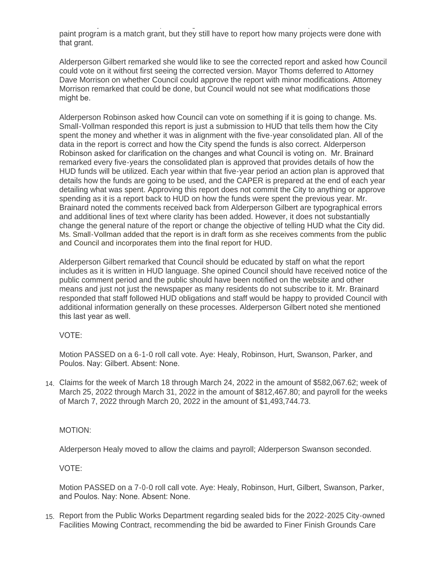on the five-year consolidated plan and generates the numbers. For example, the lead-based paint program is a match grant, but they still have to report how many projects were done with that grant.

Alderperson Gilbert remarked she would like to see the corrected report and asked how Council could vote on it without first seeing the corrected version. Mayor Thoms deferred to Attorney Dave Morrison on whether Council could approve the report with minor modifications. Attorney Morrison remarked that could be done, but Council would not see what modifications those might be.

Alderperson Robinson asked how Council can vote on something if it is going to change. Ms. Small-Vollman responded this report is just a submission to HUD that tells them how the City spent the money and whether it was in alignment with the five-year consolidated plan. All of the data in the report is correct and how the City spend the funds is also correct. Alderperson Robinson asked for clarification on the changes and what Council is voting on. Mr. Brainard remarked every five-years the consolidated plan is approved that provides details of how the HUD funds will be utilized. Each year within that five-year period an action plan is approved that details how the funds are going to be used, and the CAPER is prepared at the end of each year detailing what was spent. Approving this report does not commit the City to anything or approve spending as it is a report back to HUD on how the funds were spent the previous year. Mr. Brainard noted the comments received back from Alderperson Gilbert are typographical errors and additional lines of text where clarity has been added. However, it does not substantially change the general nature of the report or change the objective of telling HUD what the City did. Ms. Small-Vollman added that the report is in draft form as she receives comments from the public and Council and incorporates them into the final report for HUD.

Alderperson Gilbert remarked that Council should be educated by staff on what the report includes as it is written in HUD language. She opined Council should have received notice of the public comment period and the public should have been notified on the website and other means and just not just the newspaper as many residents do not subscribe to it. Mr. Brainard responded that staff followed HUD obligations and staff would be happy to provided Council with additional information generally on these processes. Alderperson Gilbert noted she mentioned this last year as well.

# VOTE:

Motion PASSED on a 6-1-0 roll call vote. Aye: Healy, Robinson, Hurt, Swanson, Parker, and Poulos. Nay: Gilbert. Absent: None.

Claims for the week of March 18 through March 24, 2022 in the amount of \$582,067.62; week of 14. March 25, 2022 through March 31, 2022 in the amount of \$812,467.80; and payroll for the weeks of March 7, 2022 through March 20, 2022 in the amount of \$1,493,744.73.

# MOTION:

Alderperson Healy moved to allow the claims and payroll; Alderperson Swanson seconded.

VOTE:

Motion PASSED on a 7-0-0 roll call vote. Aye: Healy, Robinson, Hurt, Gilbert, Swanson, Parker, and Poulos. Nay: None. Absent: None.

15. Report from the Public Works Department regarding sealed bids for the 2022-2025 City-owned Facilities Mowing Contract, recommending the bid be awarded to Finer Finish Grounds Care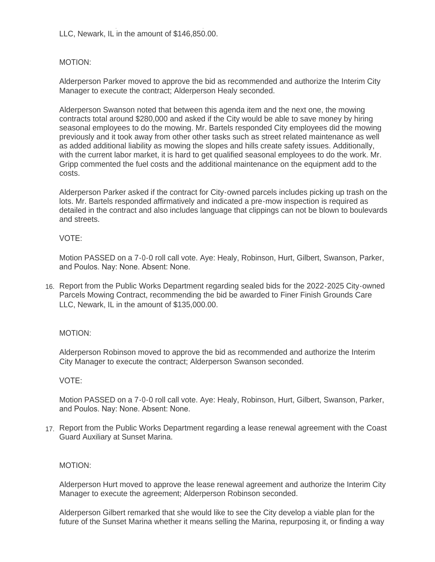Facilities Mowing Contract, recommending the bid be awarded to Finer Finish Grounds Care LLC, Newark, IL in the amount of \$146,850.00.

# MOTION:

Alderperson Parker moved to approve the bid as recommended and authorize the Interim City Manager to execute the contract; Alderperson Healy seconded.

Alderperson Swanson noted that between this agenda item and the next one, the mowing contracts total around \$280,000 and asked if the City would be able to save money by hiring seasonal employees to do the mowing. Mr. Bartels responded City employees did the mowing previously and it took away from other other tasks such as street related maintenance as well as added additional liability as mowing the slopes and hills create safety issues. Additionally, with the current labor market, it is hard to get qualified seasonal employees to do the work. Mr. Gripp commented the fuel costs and the additional maintenance on the equipment add to the costs.

Alderperson Parker asked if the contract for City-owned parcels includes picking up trash on the lots. Mr. Bartels responded affirmatively and indicated a pre-mow inspection is required as detailed in the contract and also includes language that clippings can not be blown to boulevards and streets.

# VOTE:

Motion PASSED on a 7-0-0 roll call vote. Aye: Healy, Robinson, Hurt, Gilbert, Swanson, Parker, and Poulos. Nay: None. Absent: None.

16. Report from the Public Works Department regarding sealed bids for the 2022-2025 City-owned Parcels Mowing Contract, recommending the bid be awarded to Finer Finish Grounds Care LLC, Newark, IL in the amount of \$135,000.00.

# MOTION:

Alderperson Robinson moved to approve the bid as recommended and authorize the Interim City Manager to execute the contract; Alderperson Swanson seconded.

# VOTE:

Motion PASSED on a 7-0-0 roll call vote. Aye: Healy, Robinson, Hurt, Gilbert, Swanson, Parker, and Poulos. Nay: None. Absent: None.

17. Report from the Public Works Department regarding a lease renewal agreement with the Coast Guard Auxiliary at Sunset Marina.

# MOTION:

Alderperson Hurt moved to approve the lease renewal agreement and authorize the Interim City Manager to execute the agreement; Alderperson Robinson seconded.

Alderperson Gilbert remarked that she would like to see the City develop a viable plan for the future of the Sunset Marina whether it means selling the Marina, repurposing it, or finding a way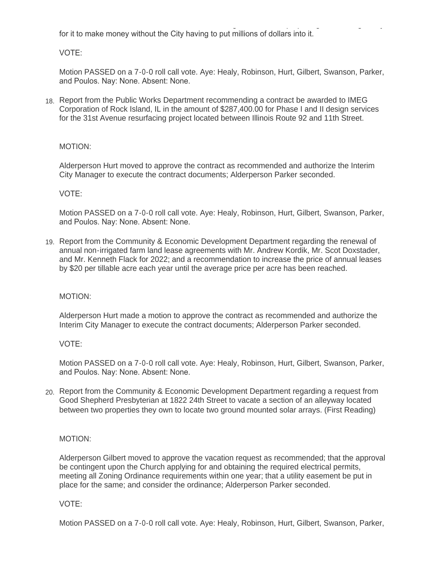future of the Sunset Marina whether it means selling the Marina, repurposing it, or finding a way for it to make money without the City having to put millions of dollars into it.

VOTE:

Motion PASSED on a 7-0-0 roll call vote. Aye: Healy, Robinson, Hurt, Gilbert, Swanson, Parker, and Poulos. Nay: None. Absent: None.

18. Report from the Public Works Department recommending a contract be awarded to IMEG Corporation of Rock Island, IL in the amount of \$287,400.00 for Phase I and II design services for the 31st Avenue resurfacing project located between Illinois Route 92 and 11th Street.

# MOTION:

Alderperson Hurt moved to approve the contract as recommended and authorize the Interim City Manager to execute the contract documents; Alderperson Parker seconded.

# VOTE:

Motion PASSED on a 7-0-0 roll call vote. Aye: Healy, Robinson, Hurt, Gilbert, Swanson, Parker, and Poulos. Nay: None. Absent: None.

19. Report from the Community & Economic Development Department regarding the renewal of annual non-irrigated farm land lease agreements with Mr. Andrew Kordik, Mr. Scot Doxstader, and Mr. Kenneth Flack for 2022; and a recommendation to increase the price of annual leases by \$20 per tillable acre each year until the average price per acre has been reached.

# MOTION:

Alderperson Hurt made a motion to approve the contract as recommended and authorize the Interim City Manager to execute the contract documents; Alderperson Parker seconded.

# VOTE:

Motion PASSED on a 7-0-0 roll call vote. Aye: Healy, Robinson, Hurt, Gilbert, Swanson, Parker, and Poulos. Nay: None. Absent: None.

20. Report from the Community & Economic Development Department regarding a request from Good Shepherd Presbyterian at 1822 24th Street to vacate a section of an alleyway located between two properties they own to locate two ground mounted solar arrays. (First Reading)

# MOTION:

Alderperson Gilbert moved to approve the vacation request as recommended; that the approval be contingent upon the Church applying for and obtaining the required electrical permits, meeting all Zoning Ordinance requirements within one year; that a utility easement be put in place for the same; and consider the ordinance; Alderperson Parker seconded.

# VOTE:

Motion PASSED on a 7-0-0 roll call vote. Aye: Healy, Robinson, Hurt, Gilbert, Swanson, Parker,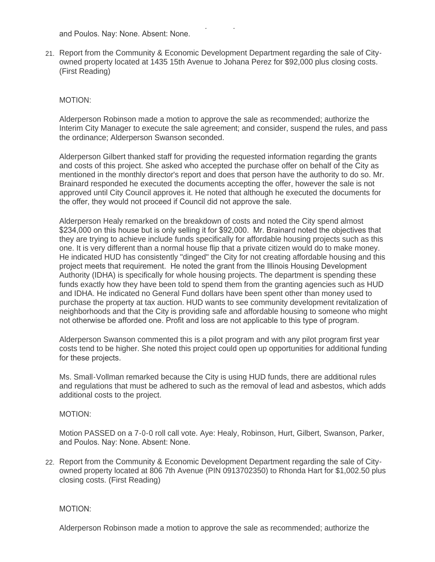and Poulos. Nay: None. Absent: None.

21. Report from the Community & Economic Development Department regarding the sale of Cityowned property located at 1435 15th Avenue to Johana Perez for \$92,000 plus closing costs. (First Reading)

Motion PASSED on a 7-0-0 roll call vote. Aye: Healy, Robinson, Hurt, Gilbert, Swanson, Parker,

### MOTION:

Alderperson Robinson made a motion to approve the sale as recommended; authorize the Interim City Manager to execute the sale agreement; and consider, suspend the rules, and pass the ordinance; Alderperson Swanson seconded.

Alderperson Gilbert thanked staff for providing the requested information regarding the grants and costs of this project. She asked who accepted the purchase offer on behalf of the City as mentioned in the monthly director's report and does that person have the authority to do so. Mr. Brainard responded he executed the documents accepting the offer, however the sale is not approved until City Council approves it. He noted that although he executed the documents for the offer, they would not proceed if Council did not approve the sale.

Alderperson Healy remarked on the breakdown of costs and noted the City spend almost \$234,000 on this house but is only selling it for \$92,000. Mr. Brainard noted the objectives that they are trying to achieve include funds specifically for affordable housing projects such as this one. It is very different than a normal house flip that a private citizen would do to make money. He indicated HUD has consistently "dinged" the City for not creating affordable housing and this project meets that requirement. He noted the grant from the Illinois Housing Development Authority (IDHA) is specifically for whole housing projects. The department is spending these funds exactly how they have been told to spend them from the granting agencies such as HUD and IDHA. He indicated no General Fund dollars have been spent other than money used to purchase the property at tax auction. HUD wants to see community development revitalization of neighborhoods and that the City is providing safe and affordable housing to someone who might not otherwise be afforded one. Profit and loss are not applicable to this type of program.

Alderperson Swanson commented this is a pilot program and with any pilot program first year costs tend to be higher. She noted this project could open up opportunities for additional funding for these projects.

Ms. Small-Vollman remarked because the City is using HUD funds, there are additional rules and regulations that must be adhered to such as the removal of lead and asbestos, which adds additional costs to the project.

#### MOTION:

Motion PASSED on a 7-0-0 roll call vote. Aye: Healy, Robinson, Hurt, Gilbert, Swanson, Parker, and Poulos. Nay: None. Absent: None.

22. Report from the Community & Economic Development Department regarding the sale of Cityowned property located at 806 7th Avenue (PIN 0913702350) to Rhonda Hart for \$1,002.50 plus closing costs. (First Reading)

#### MOTION:

Alderperson Robinson made a motion to approve the sale as recommended; authorize the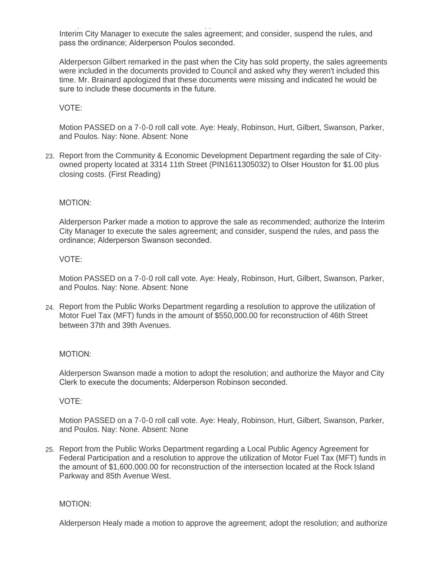Alderperson Robinson made a motion to approve the sale as recommended; authorize the Interim City Manager to execute the sales agreement; and consider, suspend the rules, and pass the ordinance; Alderperson Poulos seconded.

Alderperson Gilbert remarked in the past when the City has sold property, the sales agreements were included in the documents provided to Council and asked why they weren't included this time. Mr. Brainard apologized that these documents were missing and indicated he would be sure to include these documents in the future.

# VOTE:

Motion PASSED on a 7-0-0 roll call vote. Aye: Healy, Robinson, Hurt, Gilbert, Swanson, Parker, and Poulos. Nay: None. Absent: None

23. Report from the Community & Economic Development Department regarding the sale of Cityowned property located at 3314 11th Street (PIN1611305032) to Olser Houston for \$1.00 plus closing costs. (First Reading)

### MOTION:

Alderperson Parker made a motion to approve the sale as recommended; authorize the Interim City Manager to execute the sales agreement; and consider, suspend the rules, and pass the ordinance; Alderperson Swanson seconded.

### VOTE:

Motion PASSED on a 7-0-0 roll call vote. Aye: Healy, Robinson, Hurt, Gilbert, Swanson, Parker, and Poulos. Nay: None. Absent: None

Report from the Public Works Department regarding a resolution to approve the utilization of 24. Motor Fuel Tax (MFT) funds in the amount of \$550,000.00 for reconstruction of 46th Street between 37th and 39th Avenues.

### MOTION:

Alderperson Swanson made a motion to adopt the resolution; and authorize the Mayor and City Clerk to execute the documents; Alderperson Robinson seconded.

### VOTE:

Motion PASSED on a 7-0-0 roll call vote. Aye: Healy, Robinson, Hurt, Gilbert, Swanson, Parker, and Poulos. Nay: None. Absent: None

25. Report from the Public Works Department regarding a Local Public Agency Agreement for Federal Participation and a resolution to approve the utilization of Motor Fuel Tax (MFT) funds in the amount of \$1,600.000.00 for reconstruction of the intersection located at the Rock Island Parkway and 85th Avenue West.

### MOTION:

Alderperson Healy made a motion to approve the agreement; adopt the resolution; and authorize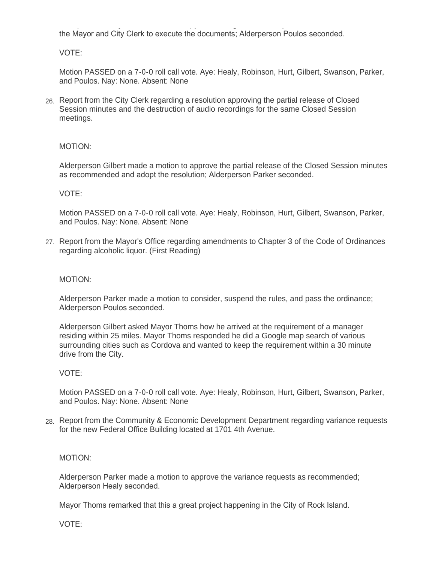$A$ lderperson Healy made a motion to approve the agreement; adopt the agreement; adopt the resolution; and authorize the Mayor and City Clerk to execute the documents; Alderperson Poulos seconded.

VOTE:

Motion PASSED on a 7-0-0 roll call vote. Aye: Healy, Robinson, Hurt, Gilbert, Swanson, Parker, and Poulos. Nay: None. Absent: None

Report from the City Clerk regarding a resolution approving the partial release of Closed 26. Session minutes and the destruction of audio recordings for the same Closed Session meetings.

# MOTION:

Alderperson Gilbert made a motion to approve the partial release of the Closed Session minutes as recommended and adopt the resolution; Alderperson Parker seconded.

# VOTE:

Motion PASSED on a 7-0-0 roll call vote. Aye: Healy, Robinson, Hurt, Gilbert, Swanson, Parker, and Poulos. Nay: None. Absent: None

27. Report from the Mayor's Office regarding amendments to Chapter 3 of the Code of Ordinances regarding alcoholic liquor. (First Reading)

# MOTION:

Alderperson Parker made a motion to consider, suspend the rules, and pass the ordinance; Alderperson Poulos seconded.

Alderperson Gilbert asked Mayor Thoms how he arrived at the requirement of a manager residing within 25 miles. Mayor Thoms responded he did a Google map search of various surrounding cities such as Cordova and wanted to keep the requirement within a 30 minute drive from the City.

# VOTE:

Motion PASSED on a 7-0-0 roll call vote. Aye: Healy, Robinson, Hurt, Gilbert, Swanson, Parker, and Poulos. Nay: None. Absent: None

Report from the Community & Economic Development Department regarding variance requests 28. for the new Federal Office Building located at 1701 4th Avenue.

# MOTION:

Alderperson Parker made a motion to approve the variance requests as recommended; Alderperson Healy seconded.

Mayor Thoms remarked that this a great project happening in the City of Rock Island.

VOTE: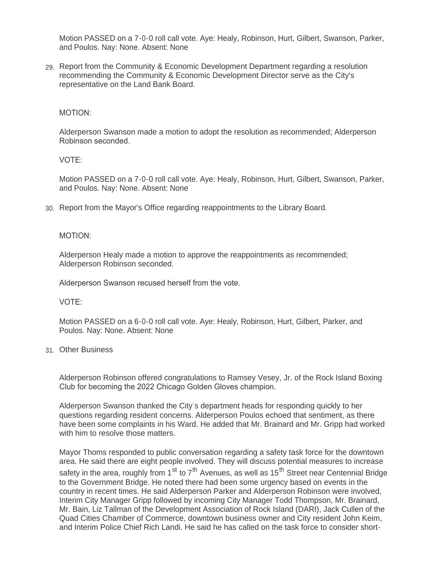Motion PASSED on a 7-0-0 roll call vote. Aye: Healy, Robinson, Hurt, Gilbert, Swanson, Parker, and Poulos. Nay: None. Absent: None

Report from the Community & Economic Development Department regarding a resolution 29. recommending the Community & Economic Development Director serve as the City's representative on the Land Bank Board.

### MOTION:

Alderperson Swanson made a motion to adopt the resolution as recommended; Alderperson Robinson seconded.

### VOTE:

Motion PASSED on a 7-0-0 roll call vote. Aye: Healy, Robinson, Hurt, Gilbert, Swanson, Parker, and Poulos. Nay: None. Absent: None

Report from the Mayor's Office regarding reappointments to the Library Board. 30.

### MOTION:

Alderperson Healy made a motion to approve the reappointments as recommended; Alderperson Robinson seconded.

Alderperson Swanson recused herself from the vote.

VOTE:

Motion PASSED on a 6-0-0 roll call vote. Aye: Healy, Robinson, Hurt, Gilbert, Parker, and Poulos. Nay: None. Absent: None

### Other Business 31.

Alderperson Robinson offered congratulations to Ramsey Vesey, Jr. of the Rock Island Boxing Club for becoming the 2022 Chicago Golden Gloves champion.

Alderperson Swanson thanked the City's department heads for responding quickly to her questions regarding resident concerns. Alderperson Poulos echoed that sentiment, as there have been some complaints in his Ward. He added that Mr. Brainard and Mr. Gripp had worked with him to resolve those matters.

Mayor Thoms responded to public conversation regarding a safety task force for the downtown area. He said there are eight people involved. They will discuss potential measures to increase safety in the area, roughly from 1<sup>st</sup> to 7<sup>th</sup> Avenues, as well as 15<sup>th</sup> Street near Centennial Bridge to the Government Bridge. He noted there had been some urgency based on events in the country in recent times. He said Alderperson Parker and Alderperson Robinson were involved, Interim City Manager Gripp followed by incoming City Manager Todd Thompson, Mr. Brainard, Mr. Bain, Liz Tallman of the Development Association of Rock Island (DARI), Jack Cullen of the Quad Cities Chamber of Commerce, downtown business owner and City resident John Keim, and Interim Police Chief Rich Landi. He said he has called on the task force to consider short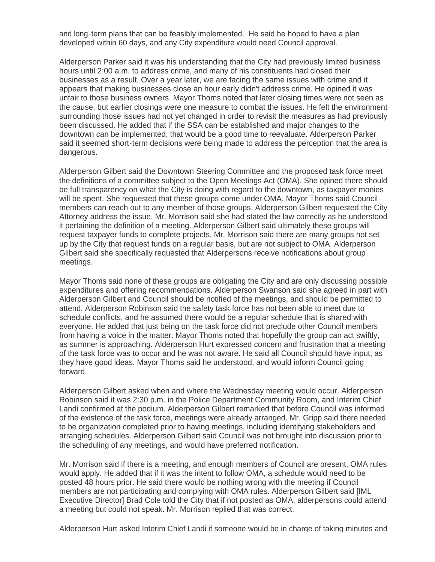and long-term plans that can be feasibly implemented. He said he hoped to have a plan developed within 60 days, and any City expenditure would need Council approval.

Alderperson Parker said it was his understanding that the City had previously limited business hours until 2:00 a.m. to address crime, and many of his constituents had closed their businesses as a result. Over a year later, we are facing the same issues with crime and it appears that making businesses close an hour early didn't address crime. He opined it was unfair to those business owners. Mayor Thoms noted that later closing times were not seen as the cause, but earlier closings were one measure to combat the issues. He felt the environment surrounding those issues had not yet changed in order to revisit the measures as had previously been discussed. He added that if the SSA can be established and major changes to the downtown can be implemented, that would be a good time to reevaluate. Alderperson Parker said it seemed short-term decisions were being made to address the perception that the area is dangerous.

Alderperson Gilbert said the Downtown Steering Committee and the proposed task force meet the definitions of a committee subject to the Open Meetings Act (OMA). She opined there should be full transparency on what the City is doing with regard to the downtown, as taxpayer monies will be spent. She requested that these groups come under OMA. Mayor Thoms said Council members can reach out to any member of those groups. Alderperson Gilbert requested the City Attorney address the issue. Mr. Morrison said she had stated the law correctly as he understood it pertaining the definition of a meeting. Alderperson Gilbert said ultimately these groups will request taxpayer funds to complete projects. Mr. Morrison said there are many groups not set up by the City that request funds on a regular basis, but are not subject to OMA. Alderperson Gilbert said she specifically requested that Alderpersons receive notifications about group meetings.

Mayor Thoms said none of these groups are obligating the City and are only discussing possible expenditures and offering recommendations. Alderperson Swanson said she agreed in part with Alderperson Gilbert and Council should be notified of the meetings, and should be permitted to attend. Alderperson Robinson said the safety task force has not been able to meet due to schedule conflicts, and he assumed there would be a regular schedule that is shared with everyone. He added that just being on the task force did not preclude other Council members from having a voice in the matter. Mayor Thoms noted that hopefully the group can act swiftly, as summer is approaching. Alderperson Hurt expressed concern and frustration that a meeting of the task force was to occur and he was not aware. He said all Council should have input, as they have good ideas. Mayor Thoms said he understood, and would inform Council going forward.

Alderperson Gilbert asked when and where the Wednesday meeting would occur. Alderperson Robinson said it was 2:30 p.m. in the Police Department Community Room, and Interim Chief Landi confirmed at the podium. Alderperson Gilbert remarked that before Council was informed of the existence of the task force, meetings were already arranged. Mr. Gripp said there needed to be organization completed prior to having meetings, including identifying stakeholders and arranging schedules. Alderperson Gilbert said Council was not brought into discussion prior to the scheduling of any meetings, and would have preferred notification.

Mr. Morrison said if there is a meeting, and enough members of Council are present, OMA rules would apply. He added that if it was the intent to follow OMA, a schedule would need to be posted 48 hours prior. He said there would be nothing wrong with the meeting if Council members are not participating and complying with OMA rules. Alderperson Gilbert said [IML Executive Director] Brad Cole told the City that if not posted as OMA, alderpersons could attend a meeting but could not speak. Mr. Morrison replied that was correct.

Alderperson Hurt asked Interim Chief Landi if someone would be in charge of taking minutes and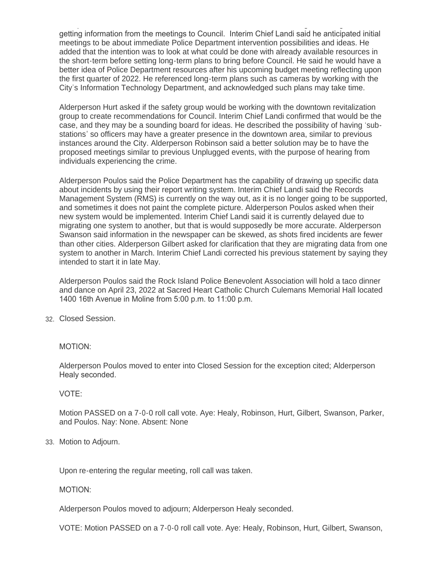Alderperson Hurt asked Interim Chief Landi if someone would be in charge of taking minutes and getting information from the meetings to Council. Interim Chief Landi said he anticipated initial meetings to be about immediate Police Department intervention possibilities and ideas. He added that the intention was to look at what could be done with already available resources in the short-term before setting long-term plans to bring before Council. He said he would have a better idea of Police Department resources after his upcoming budget meeting reflecting upon the first quarter of 2022. He referenced long-term plans such as cameras by working with the City's Information Technology Department, and acknowledged such plans may take time.

Alderperson Hurt asked if the safety group would be working with the downtown revitalization group to create recommendations for Council. Interim Chief Landi confirmed that would be the case, and they may be a sounding board for ideas. He described the possibility of having 'substations' so officers may have a greater presence in the downtown area, similar to previous instances around the City. Alderperson Robinson said a better solution may be to have the proposed meetings similar to previous Unplugged events, with the purpose of hearing from individuals experiencing the crime.

Alderperson Poulos said the Police Department has the capability of drawing up specific data about incidents by using their report writing system. Interim Chief Landi said the Records Management System (RMS) is currently on the way out, as it is no longer going to be supported, and sometimes it does not paint the complete picture. Alderperson Poulos asked when their new system would be implemented. Interim Chief Landi said it is currently delayed due to migrating one system to another, but that is would supposedly be more accurate. Alderperson Swanson said information in the newspaper can be skewed, as shots fired incidents are fewer than other cities. Alderperson Gilbert asked for clarification that they are migrating data from one system to another in March. Interim Chief Landi corrected his previous statement by saying they intended to start it in late May.

Alderperson Poulos said the Rock Island Police Benevolent Association will hold a taco dinner and dance on April 23, 2022 at Sacred Heart Catholic Church Culemans Memorial Hall located 1400 16th Avenue in Moline from 5:00 p.m. to 11:00 p.m.

### Closed Session. 32.

### MOTION:

Alderperson Poulos moved to enter into Closed Session for the exception cited; Alderperson Healy seconded.

### VOTE:

Motion PASSED on a 7-0-0 roll call vote. Aye: Healy, Robinson, Hurt, Gilbert, Swanson, Parker, and Poulos. Nay: None. Absent: None

33. Motion to Adjourn.

Upon re-entering the regular meeting, roll call was taken.

### MOTION:

Alderperson Poulos moved to adjourn; Alderperson Healy seconded.

VOTE: Motion PASSED on a 7-0-0 roll call vote. Aye: Healy, Robinson, Hurt, Gilbert, Swanson,